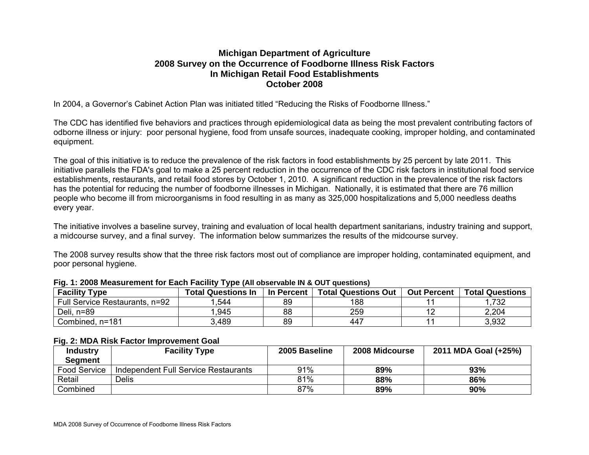## **Michigan Department of Agriculture 2008 Survey on the Occurrence of Foodborne Illness Risk Factors In Michigan Retail Food Establishments October 2008**

In 2004, a Governor's Cabinet Action Plan was initiated titled "Reducing the Risks of Foodborne Illness."

The CDC has identified five behaviors and practices through epidemiological data as being the most prevalent contributing factors of odborne illness or injury: poor personal hygiene, food from unsafe sources, inadequate cooking, improper holding, and contaminated equipment.

The goal of this initiative is to reduce the prevalence of the risk factors in food establishments by 25 percent by late 2011. This initiative parallels the FDA's goal to make a 25 percent reduction in the occurrence of the CDC risk factors in institutional food service establishments, restaurants, and retail food stores by October 1, 2010. A significant reduction in the prevalence of the risk factors has the potential for reducing the number of foodborne illnesses in Michigan. Nationally, it is estimated that there are 76 million people who become ill from microorganisms in food resulting in as many as 325,000 hospitalizations and 5,000 needless deaths every year.

The initiative involves a baseline survey, training and evaluation of local health department sanitarians, industry training and support, a midcourse survey, and a final survey. The information below summarizes the results of the midcourse survey.

The 2008 survey results show that the three risk factors most out of compliance are improper holding, contaminated equipment, and poor personal hygiene.

| <b>Facility Type</b>           | Total Questions In | In Percent | <b>Total Questions Out</b> | <b>Out Percent</b> | <b>Total Questions</b> |
|--------------------------------|--------------------|------------|----------------------------|--------------------|------------------------|
| Full Service Restaurants, n=92 | .544               | 89         | 188                        |                    | .732                   |
| Deli, n=89                     | .945               | 88         | 259                        |                    | 2,204                  |
| Combined, n=181                | 3,489              | 89         | 447                        |                    | 3,932                  |

#### **Fig. 1: 2008 Measurement for Each Facility Type (All observable IN & OUT questions)**

### **Fig. 2: MDA Risk Factor Improvement Goal**

| <b>Industry</b> |              | <b>Facility Type</b>                 | 2005 Baseline | 2008 Midcourse | 2011 MDA Goal (+25%) |
|-----------------|--------------|--------------------------------------|---------------|----------------|----------------------|
| <b>Segment</b>  |              |                                      |               |                |                      |
| Food Service    |              | Independent Full Service Restaurants | 91%           | 89%            | 93%                  |
| Retail          | <b>Delis</b> |                                      | 81%           | 88%            | 86%                  |
| Combined        |              |                                      | 87%           | 89%            | 90%                  |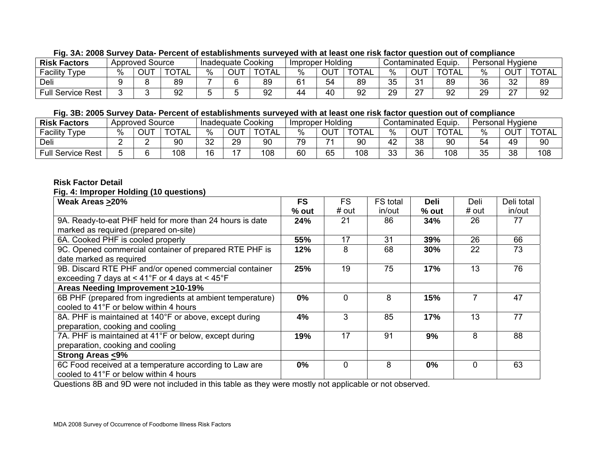| <b>Risk Factors</b>      | <b>Approved Source</b> |     |             | Inadequate Cooking |     | Improper Holding |    |     | Contaminated Equip. |      |         | <b>Personal Hygiene</b> |     |          |              |
|--------------------------|------------------------|-----|-------------|--------------------|-----|------------------|----|-----|---------------------|------|---------|-------------------------|-----|----------|--------------|
| Facility<br>Type         | 7٥                     | ΟUΤ | <b>OTAL</b> | $\%$               | ΟUΤ | <b>TOTAL</b>     | %  | OUT | <b>TOTAL</b>        | $\%$ | OUT     | <b>TOTAL</b>            | 0/2 | OU       | <b>TOTAL</b> |
| Deli                     |                        |     | 89          |                    |     | 89               | 61 | 54  | 89                  | 35   | 21<br>ັ | 89                      | 36  | ററ<br>ےں | 89           |
| <b>Full Service Rest</b> |                        |     | 92          |                    |     | 92               | 44 | 40  | 92                  | 29   | $\sim$  | 92                      | 29  | $\sim$   | 92           |

### **Fig. 3A: 2008 Survey Data- Percent of establishments surveyed with at least one risk factor question out of compliance**

## **Fig. 3B: 2005 Survey Data- Percent of establishments surveyed with at least one risk factor question out of compliance**

| <b>Risk Factors</b>         | Source<br>Approved |            | Inadequate \ | Cookina  |                 | Improper Holding |     |     | <sup>I</sup> Equip<br>Contaminated |          |            | Hygiene<br>Personal |      |                   |              |
|-----------------------------|--------------------|------------|--------------|----------|-----------------|------------------|-----|-----|------------------------------------|----------|------------|---------------------|------|-------------------|--------------|
| Facility<br>I vpe           | %                  | -175<br>ΟU | <b>TOTAL</b> | %        | OU <sup>-</sup> | TOTAL            | 0/2 | OUT | <b>TOTAL</b>                       | %        | <b>OUT</b> | <b>TOTAL</b>        | $\%$ | $\bigcap$<br>י טע | <b>TOTAL</b> |
| Deli                        |                    |            | 90           | つつ<br>ےں | 29              | 90               | 70  | - 1 | 90                                 | 42       | 38         | 90                  | 54   | 49                | 90           |
| <b>Full Service</b><br>Rest |                    |            | 108          | 16<br>ັ  | . –             | 108              | 60  | 65  | 08                                 | າາ<br>აა | 36         | 108                 | 35   | 38                | 108          |

#### **Risk Factor Detail**

### **Fig. 4: Improper Holding (10 questions)**

| Weak Areas >20%                                           | <b>FS</b> | <b>FS</b> | <b>FS</b> total | <b>Deli</b> | Deli     | Deli total |
|-----------------------------------------------------------|-----------|-----------|-----------------|-------------|----------|------------|
|                                                           | $%$ out   | # out     | in/out          | % out       | # out    | in/out     |
| 9A. Ready-to-eat PHF held for more than 24 hours is date  | 24%       | 21        | 86              | 34%         | 26       | 77         |
| marked as required (prepared on-site)                     |           |           |                 |             |          |            |
| 6A. Cooked PHF is cooled properly                         | 55%       | 17        | 31              | 39%         | 26       | 66         |
| 9C. Opened commercial container of prepared RTE PHF is    | 12%       | 8         | 68              | 30%         | 22       | 73         |
| date marked as required                                   |           |           |                 |             |          |            |
| 9B. Discard RTE PHF and/or opened commercial container    | 25%       | 19        | 75              | 17%         | 13       | 76         |
| exceeding 7 days at < 41°F or 4 days at < $45^{\circ}$ F  |           |           |                 |             |          |            |
| <b>Areas Needing Improvement &gt;10-19%</b>               |           |           |                 |             |          |            |
| 6B PHF (prepared from ingredients at ambient temperature) | 0%        | $\Omega$  | 8               | 15%         |          | 47         |
| cooled to 41°F or below within 4 hours                    |           |           |                 |             |          |            |
| 8A. PHF is maintained at 140°F or above, except during    | 4%        | 3         | 85              | 17%         | 13       | 77         |
| preparation, cooking and cooling                          |           |           |                 |             |          |            |
| 7A. PHF is maintained at 41°F or below, except during     | 19%       | 17        | 91              | 9%          | 8        | 88         |
| preparation, cooking and cooling                          |           |           |                 |             |          |            |
| <b>Strong Areas &lt;9%</b>                                |           |           |                 |             |          |            |
| 6C Food received at a temperature according to Law are    | $0\%$     | $\Omega$  | 8               | 0%          | $\Omega$ | 63         |
| cooled to 41°F or below within 4 hours                    |           |           |                 |             |          |            |

Questions 8B and 9D were not included in this table as they were mostly not applicable or not observed.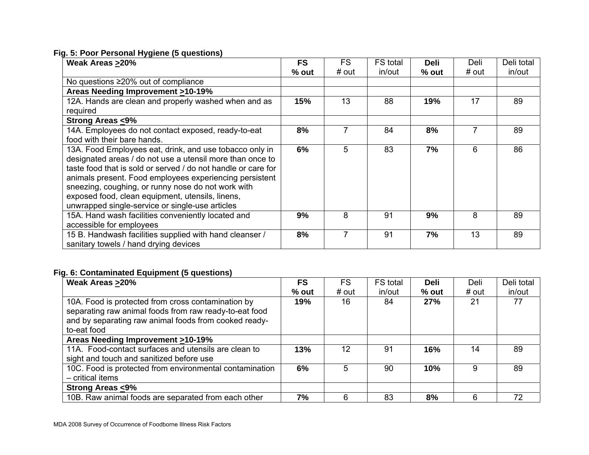# **Fig. 5: Poor Personal Hygiene (5 questions)**

| <b>Weak Areas &gt;20%</b>                                                                                                                                                                                                                                                                                                                                                                                     | <b>FS</b><br>$%$ out | <b>FS</b><br># out | FS total<br>in/out | <b>Deli</b><br>% out | Deli<br># out | Deli total<br>in/out |
|---------------------------------------------------------------------------------------------------------------------------------------------------------------------------------------------------------------------------------------------------------------------------------------------------------------------------------------------------------------------------------------------------------------|----------------------|--------------------|--------------------|----------------------|---------------|----------------------|
| No questions $\geq$ 20% out of compliance                                                                                                                                                                                                                                                                                                                                                                     |                      |                    |                    |                      |               |                      |
| <b>Areas Needing Improvement &gt;10-19%</b>                                                                                                                                                                                                                                                                                                                                                                   |                      |                    |                    |                      |               |                      |
| 12A. Hands are clean and properly washed when and as<br>required                                                                                                                                                                                                                                                                                                                                              | 15%                  | 13                 | 88                 | 19%                  | 17            | 89                   |
| Strong Areas ≤9%                                                                                                                                                                                                                                                                                                                                                                                              |                      |                    |                    |                      |               |                      |
| 14A. Employees do not contact exposed, ready-to-eat<br>food with their bare hands.                                                                                                                                                                                                                                                                                                                            | 8%                   |                    | 84                 | 8%                   |               | 89                   |
| 13A. Food Employees eat, drink, and use tobacco only in<br>designated areas / do not use a utensil more than once to<br>taste food that is sold or served / do not handle or care for<br>animals present. Food employees experiencing persistent<br>sneezing, coughing, or runny nose do not work with<br>exposed food, clean equipment, utensils, linens,<br>unwrapped single-service or single-use articles | 6%                   | 5                  | 83                 | 7%                   | 6             | 86                   |
| 15A. Hand wash facilities conveniently located and<br>accessible for employees                                                                                                                                                                                                                                                                                                                                | 9%                   | 8                  | 91                 | 9%                   | 8             | 89                   |
| 15 B. Handwash facilities supplied with hand cleanser /<br>sanitary towels / hand drying devices                                                                                                                                                                                                                                                                                                              | 8%                   | 7                  | 91                 | 7%                   | 13            | 89                   |

# **Fig. 6: Contaminated Equipment (5 questions)**

| <b>Weak Areas &gt;20%</b>                                                                                                                                                            | <b>FS</b> | <b>FS</b> | FS total | Deli  | Deli  | Deli total |
|--------------------------------------------------------------------------------------------------------------------------------------------------------------------------------------|-----------|-----------|----------|-------|-------|------------|
|                                                                                                                                                                                      | $%$ out   | # out     | in/out   | % out | # out | in/out     |
| 10A. Food is protected from cross contamination by<br>separating raw animal foods from raw ready-to-eat food<br>and by separating raw animal foods from cooked ready-<br>to-eat food | 19%       | 16        | 84       | 27%   | 21    | 77         |
| Areas Needing Improvement >10-19%                                                                                                                                                    |           |           |          |       |       |            |
| 11A. Food-contact surfaces and utensils are clean to<br>sight and touch and sanitized before use                                                                                     | 13%       | 12        | 91       | 16%   | 14    | 89         |
| 10C. Food is protected from environmental contamination<br>- critical items                                                                                                          | 6%        | 5         | 90       | 10%   | 9     | 89         |
| <b>Strong Areas &lt;9%</b>                                                                                                                                                           |           |           |          |       |       |            |
| 10B. Raw animal foods are separated from each other                                                                                                                                  | 7%        | 6         | 83       | 8%    | 6     | 72         |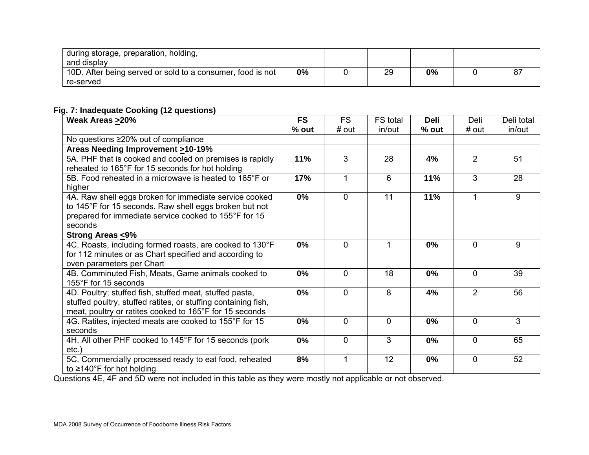| during storage, preparation, holding,                      |    |    |    |  |
|------------------------------------------------------------|----|----|----|--|
| and display                                                |    |    |    |  |
| 10D. After being served or sold to a consumer, food is not | 0% | 29 | 0% |  |
| re-served                                                  |    |    |    |  |

### **Fig. 7: Inadequate Cooking (12 questions)**

| Weak Areas >20%                                                                                                                                                                      | <b>FS</b> | <b>FS</b>   | FS total | <b>Deli</b> | Deli           | Deli total |
|--------------------------------------------------------------------------------------------------------------------------------------------------------------------------------------|-----------|-------------|----------|-------------|----------------|------------|
|                                                                                                                                                                                      | $%$ out   | # out       | in/out   | $%$ out     | # out          | in/out     |
| No questions $\geq$ 20% out of compliance                                                                                                                                            |           |             |          |             |                |            |
| <b>Areas Needing Improvement &gt;10-19%</b>                                                                                                                                          |           |             |          |             |                |            |
| 5A. PHF that is cooked and cooled on premises is rapidly<br>reheated to 165°F for 15 seconds for hot holding                                                                         | 11%       | 3           | 28       | 4%          | $\overline{2}$ | 51         |
| 5B. Food reheated in a microwave is heated to 165°F or<br>higher                                                                                                                     | 17%       | 1           | 6        | 11%         | 3              | 28         |
| 4A. Raw shell eggs broken for immediate service cooked<br>to 145°F for 15 seconds. Raw shell eggs broken but not<br>prepared for immediate service cooked to 155°F for 15<br>seconds | 0%        | $\mathbf 0$ | 11       | 11%         | 1              | 9          |
| Strong Areas <9%                                                                                                                                                                     |           |             |          |             |                |            |
| 4C. Roasts, including formed roasts, are cooked to 130°F<br>for 112 minutes or as Chart specified and according to<br>oven parameters per Chart                                      | 0%        | 0           |          | 0%          | $\Omega$       | 9          |
| 4B. Comminuted Fish, Meats, Game animals cooked to<br>155°F for 15 seconds                                                                                                           | $0\%$     | $\mathbf 0$ | 18       | 0%          | $\mathbf 0$    | 39         |
| 4D. Poultry; stuffed fish, stuffed meat, stuffed pasta,<br>stuffed poultry, stuffed ratites, or stuffing containing fish,<br>meat, poultry or ratites cooked to 165°F for 15 seconds | 0%        | $\mathbf 0$ | 8        | 4%          | $\overline{2}$ | 56         |
| 4G. Ratites, injected meats are cooked to 155°F for 15<br>seconds                                                                                                                    | $0\%$     | $\mathbf 0$ | 0        | 0%          | $\mathbf 0$    | 3          |
| 4H. All other PHF cooked to 145°F for 15 seconds (pork<br>$etc.$ )                                                                                                                   | 0%        | $\mathbf 0$ | 3        | 0%          | $\mathbf 0$    | 65         |
| 5C. Commercially processed ready to eat food, reheated<br>to $\geq$ 140°F for hot holding                                                                                            | 8%        | 1           | 12       | 0%          | $\mathbf 0$    | 52         |

Questions 4E, 4F and 5D were not included in this table as they were mostly not applicable or not observed.